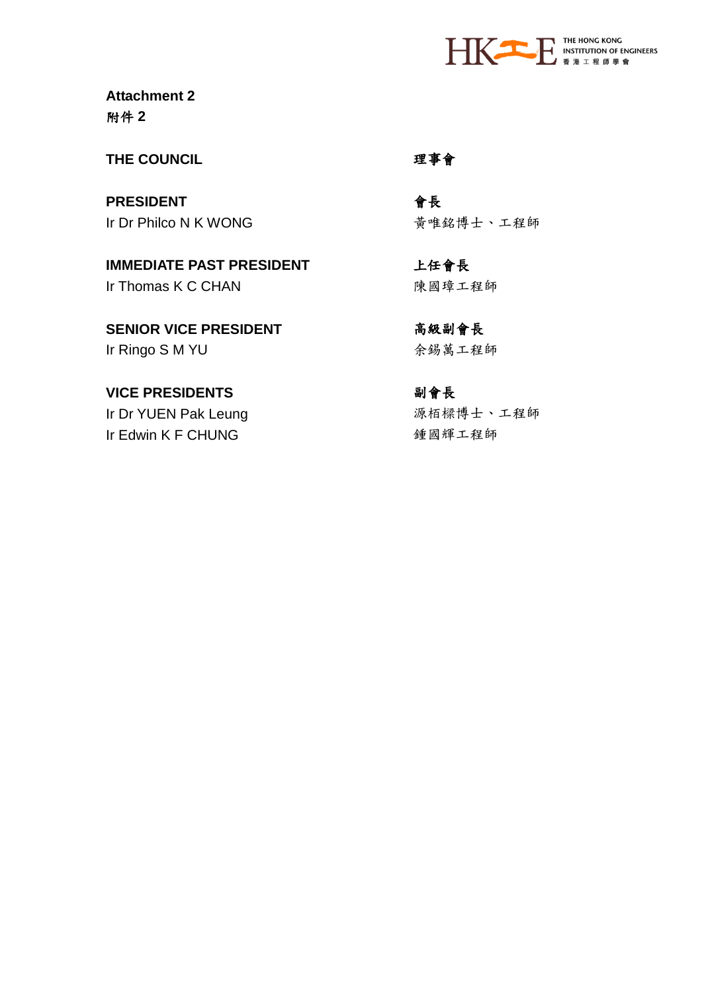

**Attachment 2**  附件 **2**

**THE COUNCIL** 理事會

**PRESIDENT** また、この合格を Ir Dr Philco N K WONG きゅうしょう おんじょう おんじょう おんちょう 黄唯銘博士、工程師

**IMMEDIATE PAST PRESIDENT** 上任會長 Ir Thomas K C CHAN わけのことを見ている。 陳國璋工程師

**SENIOR VICE PRESIDENT わたい 高級副會長** Ir Ringo S M YU または おくちゃん 余錫萬工程師

**VICE PRESIDENTS** 初會長 Ir Dr YUEN Pak Leung またはない 源栢樑博士、工程師 Ir Edwin K F CHUNG <br>  $\begin{array}{ccc}\n&\text{if } \mathbb{E} \text{ and } \mathbb{E} \text{ and } \mathbb{E} \text{ and } \mathbb{E} \text{ and } \mathbb{E} \text{ and } \mathbb{E} \text{ and } \mathbb{E} \text{ and } \mathbb{E} \text{ and } \mathbb{E} \text{ and } \mathbb{E} \text{ and } \mathbb{E} \text{ and } \mathbb{E} \text{ and } \mathbb{E} \text{ and } \mathbb{E} \text{ and } \mathbb{E} \text{ and } \mathbb{E} \text{ and } \mathbb{E} \text{$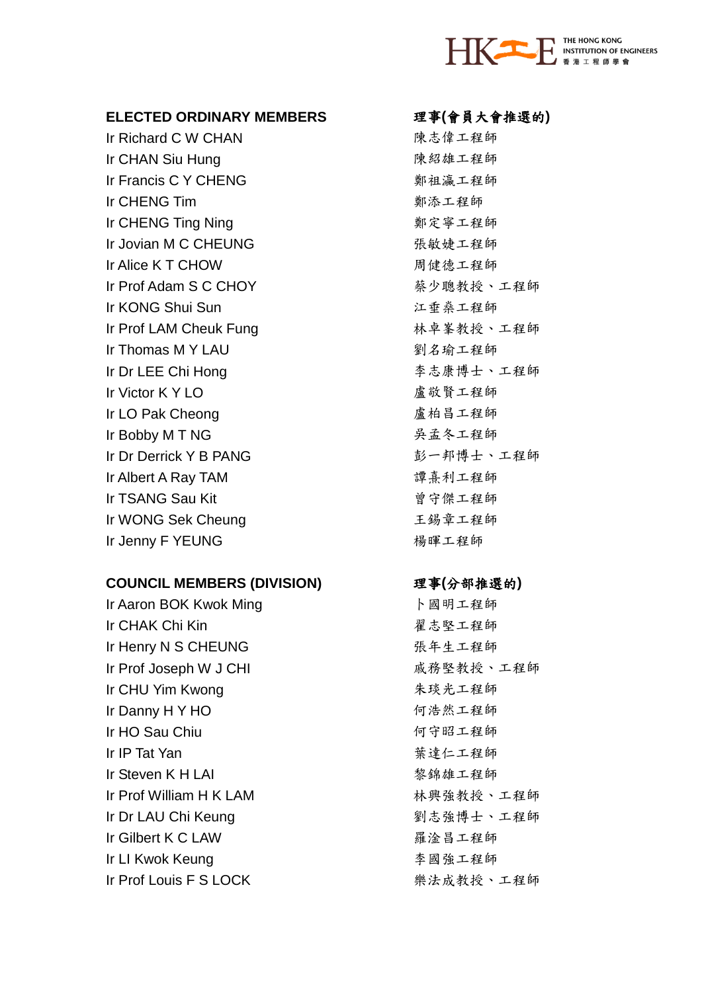

## **ELECTED ORDINARY MEMBERS** 理事**(**會員大會推選的**)**

Ir Richard C W CHAN わからのことをつける 陳志偉工程師 Ir CHAN Siu Hung またはない こころ 東紹雄工程師 Ir Francis C Y CHENG **Warehouse Setting Struck C** Service Struck that **Warehouse Struck** and Service Struck and S Ir CHFNG Tim **the contract of the contract of the contract of the contract of the contract of the contract of th** Ir CHENG Ting Ning 鄭定寧工程師 Ir Jovian M C CHEUNG 張敏婕工程師 Ir Alice K T CHOW Black Service Service K T CHOW Ir Prof Adam S C CHOY または、 薬少聰教授、工程師 Ir KONG Shui Sun カランド こうしょう エンスティック エンストランド こうしょう こうしょう こうしょう エンストランド こうしょう じょうかい こうしょう しょうしょう しょうしょう Ir Prof LAM Cheuk Fung 林卓峯教授、工程師 Ir Thomas M Y LAU 2007 2008 2009 2009 2014 30 10:00:00 10:00:00 10:00:00 10:00:00 10:00:00 10:00:00 10:00:00:0 Ir Dr LEE Chi Hong 李志康博士、工程師 Ir Victor K Y LO **Contract Contract Contract Contract Contract** 盧敬賢工程師 Ir LO Pak Cheong またはない こうしょう 直柏昌工程師 Ir Bobby M T NG スポイント アンチェンス 呉孟冬工程師 Ir Dr Derrick Y B PANG 彭一邦博士、工程師 Ir Albert A Ray TAM **bert A Ray TAM** and the set of the set of the set of the set of the set of the set of the s Ir TSANG Sau Kit **book**and the set of the set of the set of the set of the set of the set of the set of the set of the set of the set of the set of the set of the set of the set of the set of the set of the set of the se Ir WONG Sek Cheung カランド エ錫章工程師 Ir Jenny F YEUNG またはない お願い 揚暉工程師

## **COUNCIL MEMBERS (DIVISION)** 理事**(**分部推選的**)**

Ir Aaron BOK Kwok Ming **butter of the State State Assembly** ト國明工程師 Ir CHAK Chi Kin インピューティング アイディング おおやし おおし おおところ 星志堅工程師 Ir Henry N S CHEUNG またはない かいかく 張年生工程師 Ir Prof Joseph W J CHI またはない のから 威務堅教授、工程師 Ir CHU Yim Kwong 朱琰光工程師 Ir Danny H Y HO **hour beautiful as a contract of the first** 何浩然工程師 Ir HO Sau Chiu 何守昭工程師 Ir IP Tat Yan 2007 2008 2009 2009 2009 2009 葉達仁工程師 Ir Steven K H LAI 2008年 - 2009年 - 2009年 - 2010年 - 2010年 - 2010年 - 2010年 - 2010年 - 2010年 - 2010年 - 20 Ir Prof William H K LAM **William H K LAM K A WILLIAM** Ir Dr LAU Chi Keung またはちゃっと 割志強博士、工程師 Ir Gilbert K C LAW 羅淦昌工程師 Ir LI Kwok Keung **Communist Communist Communist Communist A** 國強工程師 Ir Prof Louis F S LOCK 楽法成教授、工程師